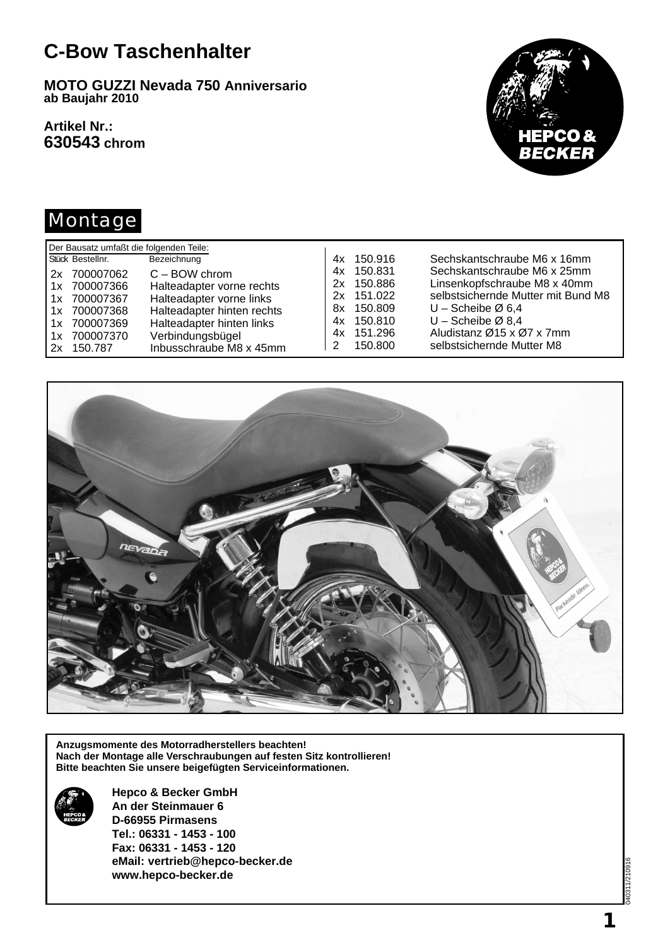## **C-Bow Taschenhalter**

**MOTO GUZZI Nevada 750 Anniversario ab Baujahr 2010**

**Artikel Nr.: 630543 chrom**



#### Montage

| Der Bausatz umfaßt die folgenden Teile: |                            |               |                                    |  |  |  |  |
|-----------------------------------------|----------------------------|---------------|------------------------------------|--|--|--|--|
| Stück Bestellnr.                        | Bezeichnung                | 4x 150.916    | Sechskantschraube M6 x 16mm        |  |  |  |  |
| 2x 700007062                            | $C - BOW$ chrom            | 150.831<br>4x | Sechskantschraube M6 x 25mm        |  |  |  |  |
| 1x 700007366                            | Halteadapter vorne rechts  | 2x 150.886    | Linsenkopfschraube M8 x 40mm       |  |  |  |  |
| 1x 700007367                            | Halteadapter vorne links   | 2x 151.022    | selbstsichernde Mutter mit Bund M8 |  |  |  |  |
| 1x 700007368                            | Halteadapter hinten rechts | 8x 150.809    | $U$ – Scheibe Ø 6.4                |  |  |  |  |
| 1x 700007369                            | Halteadapter hinten links  | 4x 150,810    | $U$ – Scheibe Ø 8,4                |  |  |  |  |
| 700007370<br>1x                         | Verbindungsbügel           | 4x 151.296    | Aludistanz Ø15 x Ø7 x 7mm          |  |  |  |  |
| 150.787<br>2x                           | Inbusschraube M8 x 45mm    | 150.800       | selbstsichernde Mutter M8          |  |  |  |  |



**Anzugsmomente des Motorradherstellers beachten! Nach der Montage alle Verschraubungen auf festen Sitz kontrollieren! Bitte beachten Sie unsere beigefügten Serviceinformationen.**



**Hepco & Becker GmbH An der Steinmauer 6 D-66955 Pirmasens Tel.: 06331 - 1453 - 100 Fax: 06331 - 1453 - 120 eMail: vertrieb@hepco-becker.de www.hepco-becker.de**

040311/210916  $1/2109$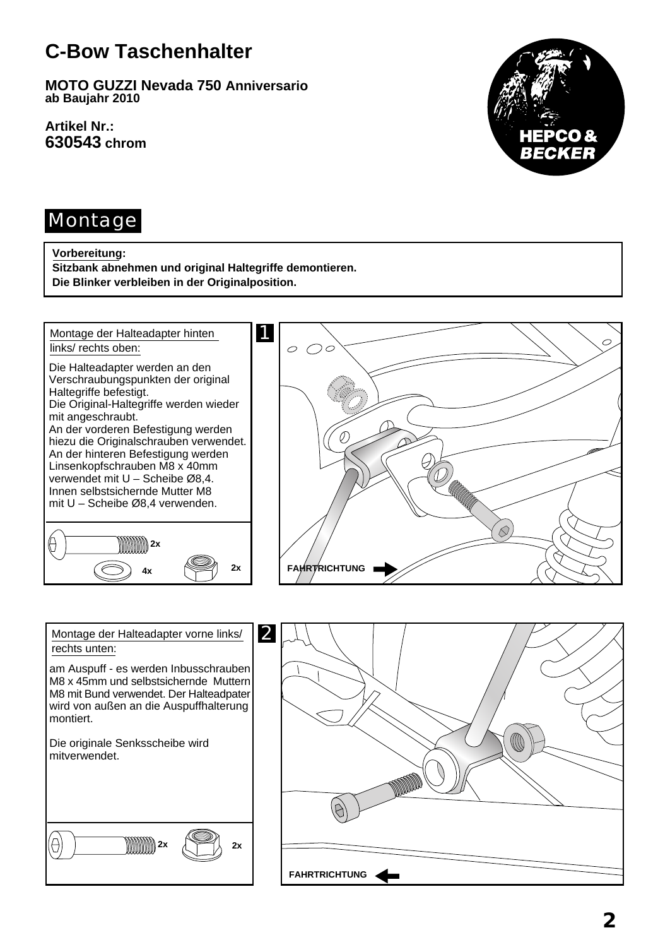# **C-Bow Taschenhalter**

**MOTO GUZZI Nevada 750 Anniversario ab Baujahr 2010**

**Artikel Nr.: 630543 chrom**



#### Montage

#### **Vorbereitung:**

**Sitzbank abnehmen und original Haltegriffe demontieren. Die Blinker verbleiben in der Originalposition.**



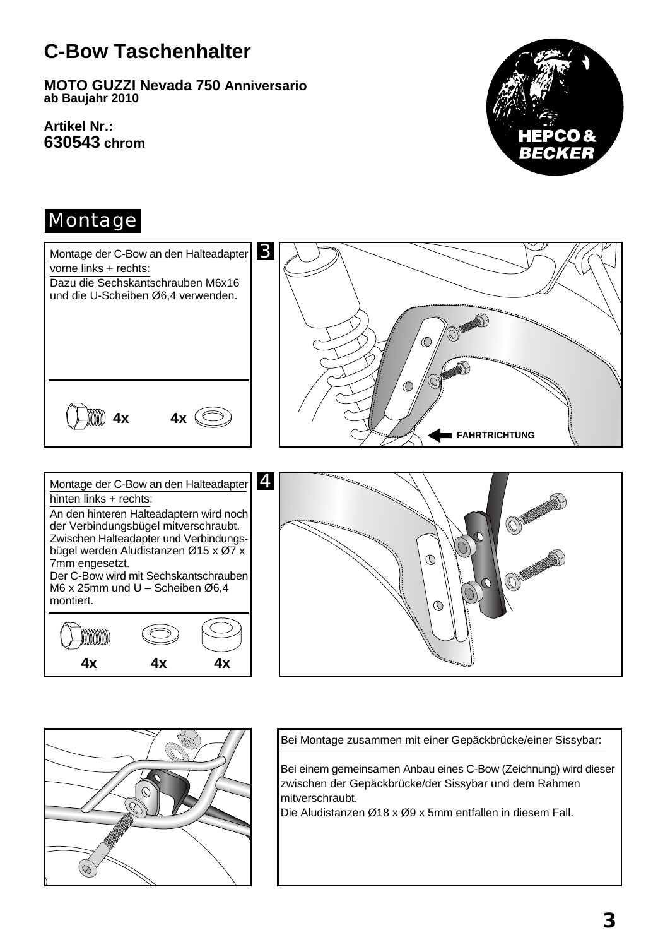# **C-Bow Taschenhalter**

**MOTO GUZZI Nevada 750 Anniversario ab Baujahr 2010**

**Artikel Nr.: 630543 chrom**



#### Montage





Bei Montage zusammen mit einer Gepäckbrücke/einer Sissybar:

Bei einem gemeinsamen Anbau eines C-Bow (Zeichnung) wird dieser zwischen der Gepäckbrücke/der Sissybar und dem Rahmen mitverschraubt.

Die Aludistanzen Ø18 x Ø9 x 5mm entfallen in diesem Fall.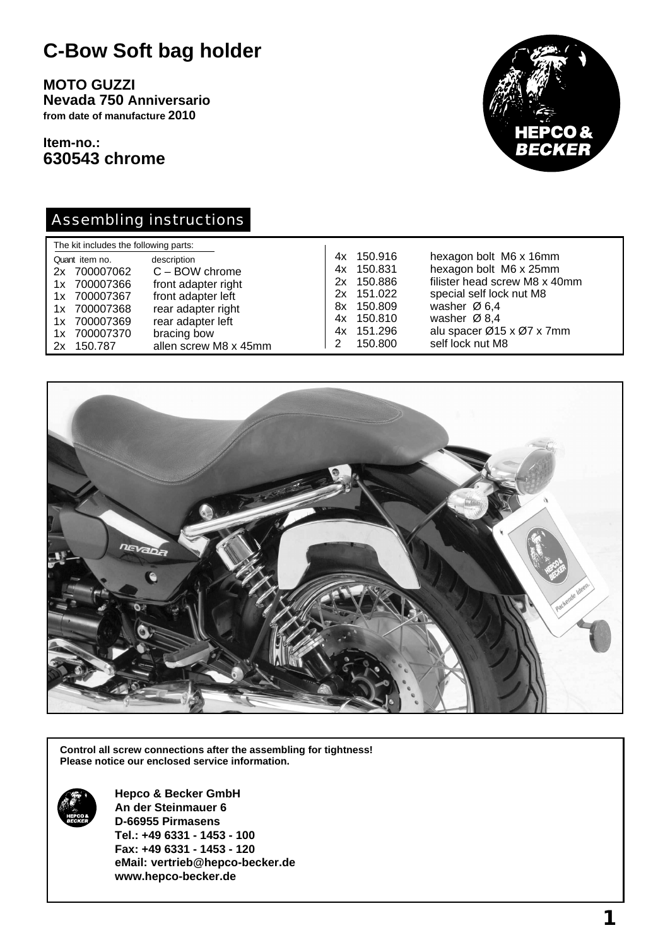## **C-Bow Soft bag holder**

**MOTO GUZZI Nevada 750 Anniversario from date of manufacture 2010**

**Item-no.: 630543 chrome**



#### Assembling instructions

| The kit includes the following parts:                                                                                        |                                                                                                                                                                 |                                                                                                                   |  |                                                                                                                                                                                                                        |  |  |
|------------------------------------------------------------------------------------------------------------------------------|-----------------------------------------------------------------------------------------------------------------------------------------------------------------|-------------------------------------------------------------------------------------------------------------------|--|------------------------------------------------------------------------------------------------------------------------------------------------------------------------------------------------------------------------|--|--|
| Quant item no.<br>2x 700007062<br>1x 700007366<br>1x 700007367<br>1x 700007368<br>1x 700007369<br>1x 700007370<br>2x 150.787 | description<br>$C - BOW$ chrome<br>front adapter right<br>front adapter left<br>rear adapter right<br>rear adapter left<br>bracing bow<br>allen screw M8 x 45mm | 4x 150.916<br>4x 150.831<br>150.886<br>2x<br>2x 151.022<br>8x 150.809<br>4x 150.810<br>4x 151.296<br>150.800<br>2 |  | hexagon bolt M6 x 16mm<br>hexagon bolt M6 x 25mm<br>filister head screw M8 x 40mm<br>special self lock nut M8<br>washer $\varnothing$ 6,4<br>washer $\varnothing$ 8.4<br>alu spacer Ø15 x Ø7 x 7mm<br>self lock nut M8 |  |  |



**Control all screw connections after the assembling for tightness! Please notice our enclosed service information.**



**Hepco & Becker GmbH An der Steinmauer 6 D-66955 Pirmasens Tel.: +49 6331 - 1453 - 100 Fax: +49 6331 - 1453 - 120 eMail: vertrieb@hepco-becker.de www.hepco-becker.de**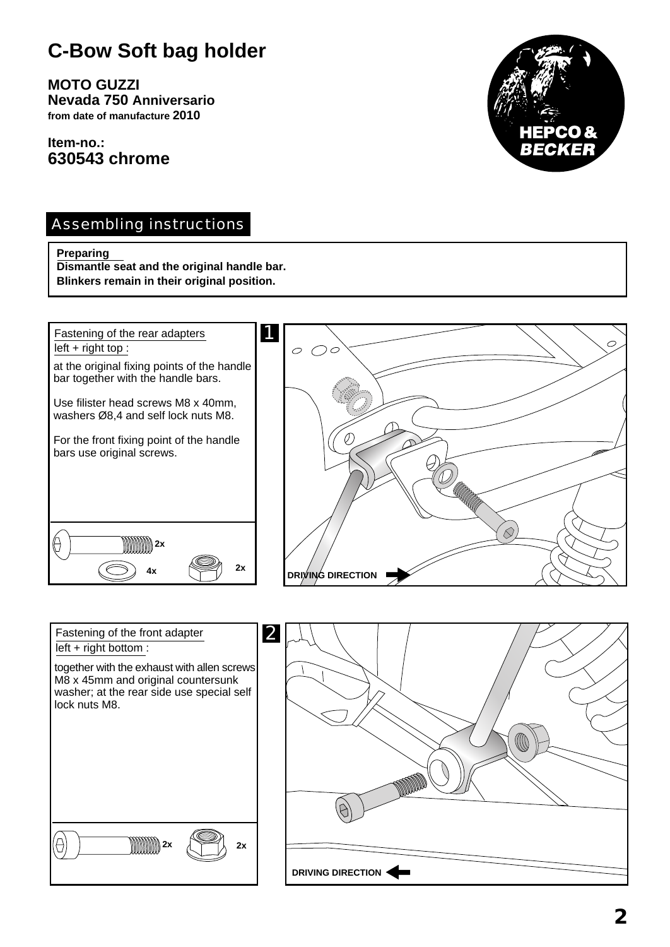# **C-Bow Soft bag holder**

**MOTO GUZZI Nevada 750 Anniversario from date of manufacture 2010**

**Item-no.: 630543 chrome**



#### Assembling instructions

#### **Preparing**

**Dismantle seat and the original handle bar. Blinkers remain in their original position.**